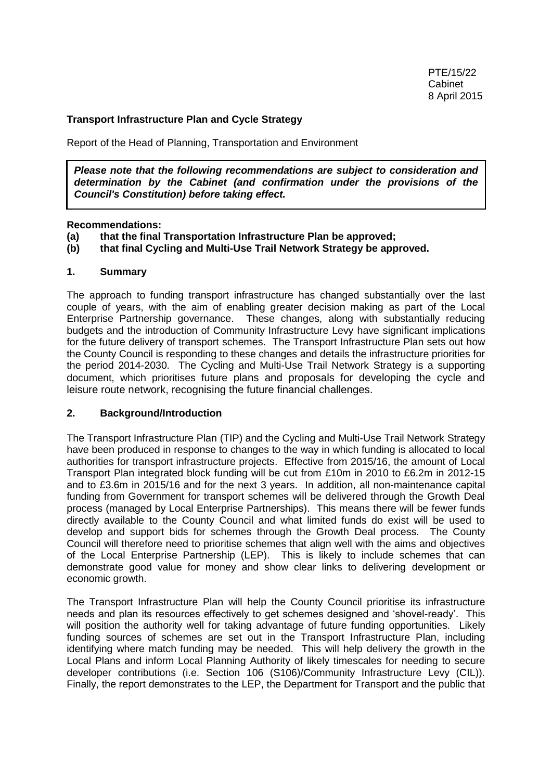## **Transport Infrastructure Plan and Cycle Strategy**

Report of the Head of Planning, Transportation and Environment

*Please note that the following recommendations are subject to consideration and determination by the Cabinet (and confirmation under the provisions of the Council's Constitution) before taking effect.*

#### **Recommendations:**

- **(a) that the final Transportation Infrastructure Plan be approved;**
- **(b) that final Cycling and Multi-Use Trail Network Strategy be approved.**

### **1. Summary**

The approach to funding transport infrastructure has changed substantially over the last couple of years, with the aim of enabling greater decision making as part of the Local Enterprise Partnership governance. These changes, along with substantially reducing budgets and the introduction of Community Infrastructure Levy have significant implications for the future delivery of transport schemes. The Transport Infrastructure Plan sets out how the County Council is responding to these changes and details the infrastructure priorities for the period 2014-2030. The Cycling and Multi-Use Trail Network Strategy is a supporting document, which prioritises future plans and proposals for developing the cycle and leisure route network, recognising the future financial challenges.

#### **2. Background/Introduction**

The Transport Infrastructure Plan (TIP) and the Cycling and Multi-Use Trail Network Strategy have been produced in response to changes to the way in which funding is allocated to local authorities for transport infrastructure projects. Effective from 2015/16, the amount of Local Transport Plan integrated block funding will be cut from £10m in 2010 to £6.2m in 2012-15 and to £3.6m in 2015/16 and for the next 3 years. In addition, all non-maintenance capital funding from Government for transport schemes will be delivered through the Growth Deal process (managed by Local Enterprise Partnerships). This means there will be fewer funds directly available to the County Council and what limited funds do exist will be used to develop and support bids for schemes through the Growth Deal process. The County Council will therefore need to prioritise schemes that align well with the aims and objectives of the Local Enterprise Partnership (LEP). This is likely to include schemes that can demonstrate good value for money and show clear links to delivering development or economic growth.

The Transport Infrastructure Plan will help the County Council prioritise its infrastructure needs and plan its resources effectively to get schemes designed and 'shovel-ready'. This will position the authority well for taking advantage of future funding opportunities. Likely funding sources of schemes are set out in the Transport Infrastructure Plan, including identifying where match funding may be needed. This will help delivery the growth in the Local Plans and inform Local Planning Authority of likely timescales for needing to secure developer contributions (i.e. Section 106 (S106)/Community Infrastructure Levy (CIL)). Finally, the report demonstrates to the LEP, the Department for Transport and the public that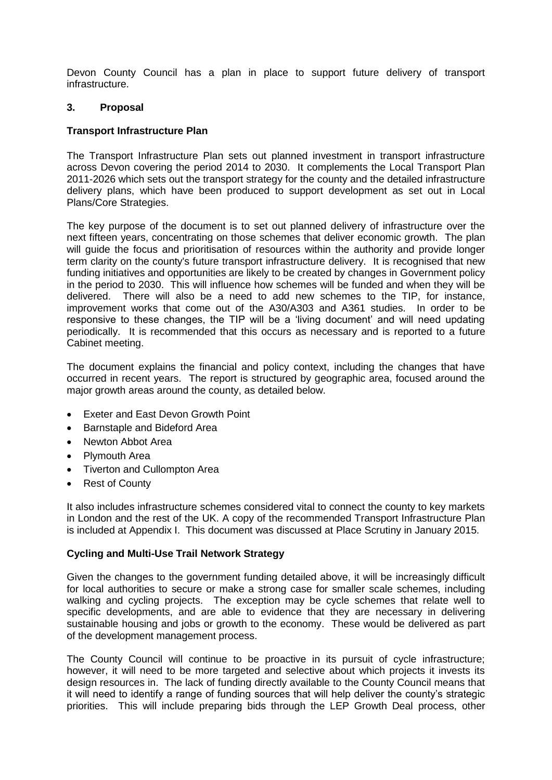Devon County Council has a plan in place to support future delivery of transport infrastructure.

### **3. Proposal**

### **Transport Infrastructure Plan**

The Transport Infrastructure Plan sets out planned investment in transport infrastructure across Devon covering the period 2014 to 2030. It complements the Local Transport Plan 2011-2026 which sets out the transport strategy for the county and the detailed infrastructure delivery plans, which have been produced to support development as set out in Local Plans/Core Strategies.

The key purpose of the document is to set out planned delivery of infrastructure over the next fifteen years, concentrating on those schemes that deliver economic growth. The plan will quide the focus and prioritisation of resources within the authority and provide longer term clarity on the county's future transport infrastructure delivery. It is recognised that new funding initiatives and opportunities are likely to be created by changes in Government policy in the period to 2030. This will influence how schemes will be funded and when they will be delivered. There will also be a need to add new schemes to the TIP, for instance, improvement works that come out of the A30/A303 and A361 studies. In order to be responsive to these changes, the TIP will be a 'living document' and will need updating periodically. It is recommended that this occurs as necessary and is reported to a future Cabinet meeting.

The document explains the financial and policy context, including the changes that have occurred in recent years. The report is structured by geographic area, focused around the major growth areas around the county, as detailed below.

- **•** Exeter and East Devon Growth Point
- Barnstaple and Bideford Area
- Newton Abbot Area
- Plymouth Area
- Tiverton and Cullompton Area
- Rest of County

It also includes infrastructure schemes considered vital to connect the county to key markets in London and the rest of the UK. A copy of the recommended Transport Infrastructure Plan is included at Appendix I. This document was discussed at Place Scrutiny in January 2015.

#### **Cycling and Multi-Use Trail Network Strategy**

Given the changes to the government funding detailed above, it will be increasingly difficult for local authorities to secure or make a strong case for smaller scale schemes, including walking and cycling projects. The exception may be cycle schemes that relate well to specific developments, and are able to evidence that they are necessary in delivering sustainable housing and jobs or growth to the economy. These would be delivered as part of the development management process.

The County Council will continue to be proactive in its pursuit of cycle infrastructure; however, it will need to be more targeted and selective about which projects it invests its design resources in. The lack of funding directly available to the County Council means that it will need to identify a range of funding sources that will help deliver the county's strategic priorities. This will include preparing bids through the LEP Growth Deal process, other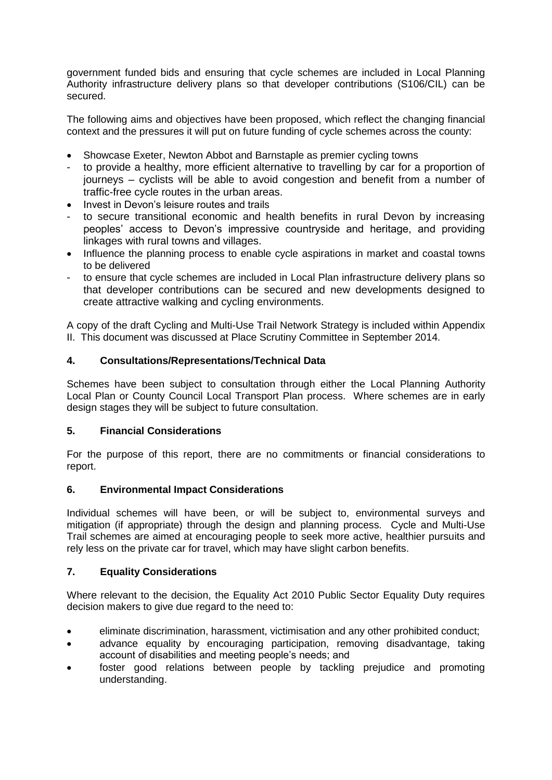government funded bids and ensuring that cycle schemes are included in Local Planning Authority infrastructure delivery plans so that developer contributions (S106/CIL) can be secured.

The following aims and objectives have been proposed, which reflect the changing financial context and the pressures it will put on future funding of cycle schemes across the county:

- Showcase Exeter, Newton Abbot and Barnstaple as premier cycling towns
- to provide a healthy, more efficient alternative to travelling by car for a proportion of journeys – cyclists will be able to avoid congestion and benefit from a number of traffic-free cycle routes in the urban areas.
- Invest in Devon's leisure routes and trails
- to secure transitional economic and health benefits in rural Devon by increasing peoples' access to Devon's impressive countryside and heritage, and providing linkages with rural towns and villages.
- Influence the planning process to enable cycle aspirations in market and coastal towns to be delivered
- to ensure that cycle schemes are included in Local Plan infrastructure delivery plans so that developer contributions can be secured and new developments designed to create attractive walking and cycling environments.

A copy of the draft Cycling and Multi-Use Trail Network Strategy is included within Appendix II. This document was discussed at Place Scrutiny Committee in September 2014.

# **4. Consultations/Representations/Technical Data**

Schemes have been subject to consultation through either the Local Planning Authority Local Plan or County Council Local Transport Plan process. Where schemes are in early design stages they will be subject to future consultation.

## **5. Financial Considerations**

For the purpose of this report, there are no commitments or financial considerations to report.

## **6. Environmental Impact Considerations**

Individual schemes will have been, or will be subject to, environmental surveys and mitigation (if appropriate) through the design and planning process. Cycle and Multi-Use Trail schemes are aimed at encouraging people to seek more active, healthier pursuits and rely less on the private car for travel, which may have slight carbon benefits.

## **7. Equality Considerations**

Where relevant to the decision, the Equality Act 2010 Public Sector Equality Duty requires decision makers to give due regard to the need to:

- eliminate discrimination, harassment, victimisation and any other prohibited conduct;
- advance equality by encouraging participation, removing disadvantage, taking account of disabilities and meeting people's needs; and
- foster good relations between people by tackling prejudice and promoting understanding.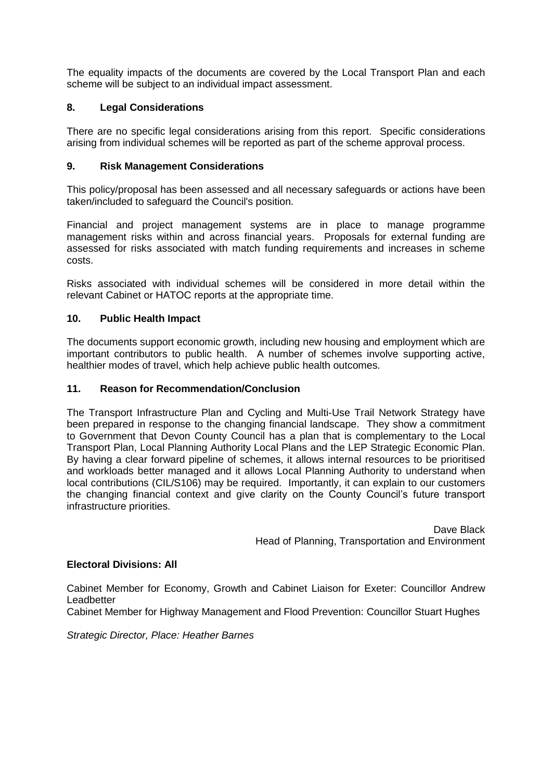The equality impacts of the documents are covered by the Local Transport Plan and each scheme will be subject to an individual impact assessment.

## **8. Legal Considerations**

There are no specific legal considerations arising from this report. Specific considerations arising from individual schemes will be reported as part of the scheme approval process.

## **9. Risk Management Considerations**

This policy/proposal has been assessed and all necessary safeguards or actions have been taken/included to safeguard the Council's position.

Financial and project management systems are in place to manage programme management risks within and across financial years. Proposals for external funding are assessed for risks associated with match funding requirements and increases in scheme costs.

Risks associated with individual schemes will be considered in more detail within the relevant Cabinet or HATOC reports at the appropriate time.

### **10. Public Health Impact**

The documents support economic growth, including new housing and employment which are important contributors to public health. A number of schemes involve supporting active, healthier modes of travel, which help achieve public health outcomes.

### **11. Reason for Recommendation/Conclusion**

The Transport Infrastructure Plan and Cycling and Multi-Use Trail Network Strategy have been prepared in response to the changing financial landscape. They show a commitment to Government that Devon County Council has a plan that is complementary to the Local Transport Plan, Local Planning Authority Local Plans and the LEP Strategic Economic Plan. By having a clear forward pipeline of schemes, it allows internal resources to be prioritised and workloads better managed and it allows Local Planning Authority to understand when local contributions (CIL/S106) may be required. Importantly, it can explain to our customers the changing financial context and give clarity on the County Council's future transport infrastructure priorities.

> Dave Black Head of Planning, Transportation and Environment

#### **Electoral Divisions: All**

Cabinet Member for Economy, Growth and Cabinet Liaison for Exeter: Councillor Andrew Leadbetter

[Cabinet Member for Highway Management and Flood Prevention:](https://new.devon.gov.uk/democracy/councillor/role/cabinet-member-for-highway-management-and-flood-prevention/) Councillor Stuart Hughes

*Strategic Director, Place: Heather Barnes*